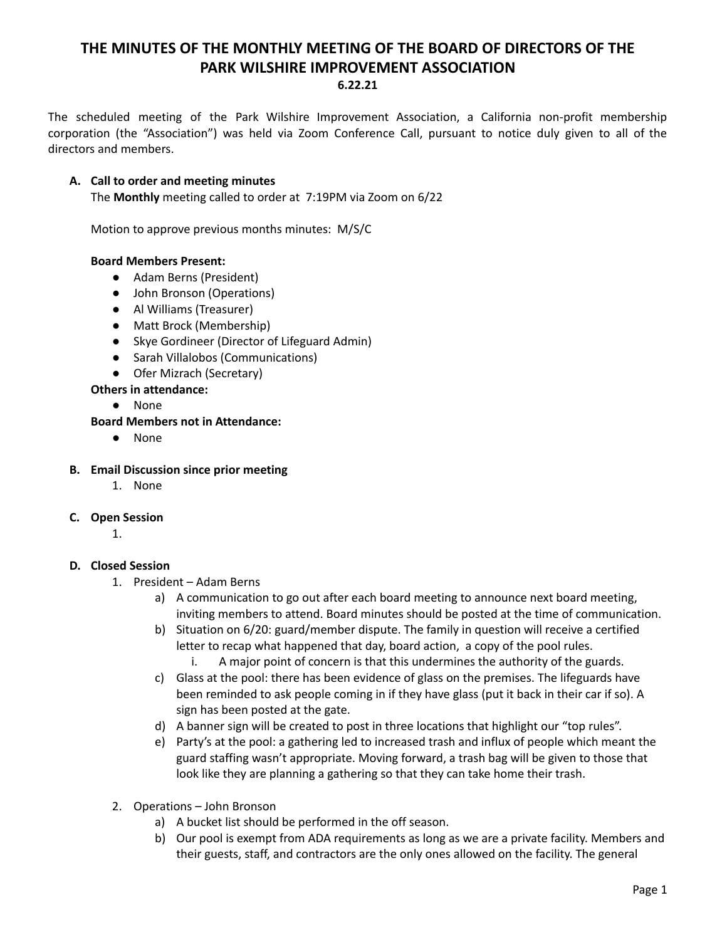# **THE MINUTES OF THE MONTHLY MEETING OF THE BOARD OF DIRECTORS OF THE PARK WILSHIRE IMPROVEMENT ASSOCIATION 6.22.21**

The scheduled meeting of the Park Wilshire Improvement Association, a California non-profit membership corporation (the "Association") was held via Zoom Conference Call, pursuant to notice duly given to all of the directors and members.

#### **A. Call to order and meeting minutes**

The **Monthly** meeting called to order at 7:19PM via Zoom on 6/22

Motion to approve previous months minutes: M/S/C

#### **Board Members Present:**

- Adam Berns (President)
- John Bronson (Operations)
- **●** Al Williams (Treasurer)
- Matt Brock (Membership)
- Skye Gordineer (Director of Lifeguard Admin)
- Sarah Villalobos (Communications)
- Ofer Mizrach (Secretary)
- **Others in attendance:**
	- None

### **Board Members not in Attendance:**

● None

#### **B. Email Discussion since prior meeting**

1. None

#### **C. Open Session**

1.

#### **D. Closed Session**

- 1. President Adam Berns
	- a) A communication to go out after each board meeting to announce next board meeting, inviting members to attend. Board minutes should be posted at the time of communication.
	- b) Situation on 6/20: guard/member dispute. The family in question will receive a certified letter to recap what happened that day, board action, a copy of the pool rules.
		- i. A major point of concern is that this undermines the authority of the guards.
	- c) Glass at the pool: there has been evidence of glass on the premises. The lifeguards have been reminded to ask people coming in if they have glass (put it back in their car if so). A sign has been posted at the gate.
	- d) A banner sign will be created to post in three locations that highlight our "top rules".
	- e) Party's at the pool: a gathering led to increased trash and influx of people which meant the guard staffing wasn't appropriate. Moving forward, a trash bag will be given to those that look like they are planning a gathering so that they can take home their trash.
- 2. Operations John Bronson
	- a) A bucket list should be performed in the off season.
	- b) Our pool is exempt from ADA requirements as long as we are a private facility. Members and their guests, staff, and contractors are the only ones allowed on the facility. The general